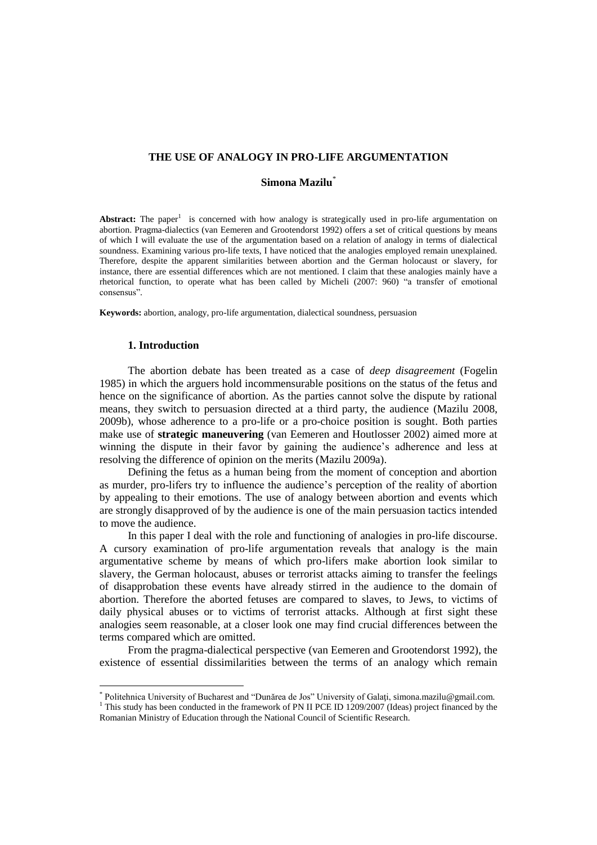## **THE USE OF ANALOGY IN PRO-LIFE ARGUMENTATION**

## **Simona Mazilu**\*

Abstract: The paper<sup>1</sup> is concerned with how analogy is strategically used in pro-life argumentation on abortion. Pragma-dialectics (van Eemeren and Grootendorst 1992) offers a set of critical questions by means of which I will evaluate the use of the argumentation based on a relation of analogy in terms of dialectical soundness. Examining various pro-life texts, I have noticed that the analogies employed remain unexplained. Therefore, despite the apparent similarities between abortion and the German holocaust or slavery, for instance, there are essential differences which are not mentioned. I claim that these analogies mainly have a rhetorical function, to operate what has been called by Micheli (2007: 960) "a transfer of emotional consensus".

**Keywords:** abortion, analogy, pro-life argumentation, dialectical soundness, persuasion

## **1. Introduction**

 $\overline{a}$ 

The abortion debate has been treated as a case of *deep disagreement* (Fogelin 1985) in which the arguers hold incommensurable positions on the status of the fetus and hence on the significance of abortion. As the parties cannot solve the dispute by rational means, they switch to persuasion directed at a third party, the audience (Mazilu 2008, 2009b), whose adherence to a pro-life or a pro-choice position is sought. Both parties make use of **strategic maneuvering** (van Eemeren and Houtlosser 2002) aimed more at winning the dispute in their favor by gaining the audience's adherence and less at resolving the difference of opinion on the merits (Mazilu 2009a).

Defining the fetus as a human being from the moment of conception and abortion as murder, pro-lifers try to influence the audience's perception of the reality of abortion by appealing to their emotions. The use of analogy between abortion and events which are strongly disapproved of by the audience is one of the main persuasion tactics intended to move the audience.

In this paper I deal with the role and functioning of analogies in pro-life discourse. A cursory examination of pro-life argumentation reveals that analogy is the main argumentative scheme by means of which pro-lifers make abortion look similar to slavery, the German holocaust, abuses or terrorist attacks aiming to transfer the feelings of disapprobation these events have already stirred in the audience to the domain of abortion. Therefore the aborted fetuses are compared to slaves, to Jews, to victims of daily physical abuses or to victims of terrorist attacks. Although at first sight these analogies seem reasonable, at a closer look one may find crucial differences between the terms compared which are omitted.

From the pragma-dialectical perspective (van Eemeren and Grootendorst 1992), the existence of essential dissimilarities between the terms of an analogy which remain

<sup>\*</sup> Politehnica University of Bucharest and "Dunărea de Jos" University of Galaţi, simona.mazilu@gmail.com. <sup>1</sup> This study has been conducted in the framework of PN II PCE ID 1209/2007 (Ideas) project financed by the Romanian Ministry of Education through the National Council of Scientific Research.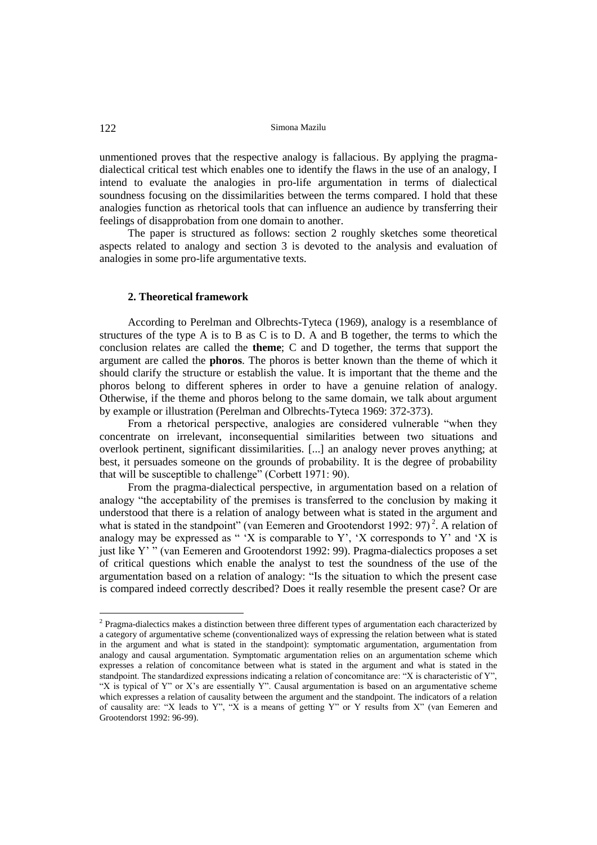122 Simona Mazilu

unmentioned proves that the respective analogy is fallacious. By applying the pragmadialectical critical test which enables one to identify the flaws in the use of an analogy, I intend to evaluate the analogies in pro-life argumentation in terms of dialectical soundness focusing on the dissimilarities between the terms compared. I hold that these analogies function as rhetorical tools that can influence an audience by transferring their feelings of disapprobation from one domain to another.

The paper is structured as follows: section 2 roughly sketches some theoretical aspects related to analogy and section 3 is devoted to the analysis and evaluation of analogies in some pro-life argumentative texts.

## **2. Theoretical framework**

According to Perelman and Olbrechts-Tyteca (1969), analogy is a resemblance of structures of the type A is to B as C is to D. A and B together, the terms to which the conclusion relates are called the **theme**; C and D together, the terms that support the argument are called the **phoros**. The phoros is better known than the theme of which it should clarify the structure or establish the value. It is important that the theme and the phoros belong to different spheres in order to have a genuine relation of analogy. Otherwise, if the theme and phoros belong to the same domain, we talk about argument by example or illustration (Perelman and Olbrechts-Tyteca 1969: 372-373).

From a rhetorical perspective, analogies are considered vulnerable "when they concentrate on irrelevant, inconsequential similarities between two situations and overlook pertinent, significant dissimilarities. [...] an analogy never proves anything; at best, it persuades someone on the grounds of probability. It is the degree of probability that will be susceptible to challenge" (Corbett 1971: 90).

From the pragma-dialectical perspective, in argumentation based on a relation of analogy "the acceptability of the premises is transferred to the conclusion by making it understood that there is a relation of analogy between what is stated in the argument and what is stated in the standpoint" (van Eemeren and Grootendorst 1992: 97)<sup>2</sup>. A relation of analogy may be expressed as " 'X is comparable to Y', 'X corresponds to Y' and 'X is just like Y' " (van Eemeren and Grootendorst 1992: 99). Pragma-dialectics proposes a set of critical questions which enable the analyst to test the soundness of the use of the argumentation based on a relation of analogy: "Is the situation to which the present case is compared indeed correctly described? Does it really resemble the present case? Or are

<sup>&</sup>lt;sup>2</sup> Pragma-dialectics makes a distinction between three different types of argumentation each characterized by a category of argumentative scheme (conventionalized ways of expressing the relation between what is stated in the argument and what is stated in the standpoint): symptomatic argumentation, argumentation from analogy and causal argumentation. Symptomatic argumentation relies on an argumentation scheme which expresses a relation of concomitance between what is stated in the argument and what is stated in the standpoint. The standardized expressions indicating a relation of concomitance are: "X is characteristic of Y" "X is typical of Y" or X's are essentially Y". Causal argumentation is based on an argumentative scheme which expresses a relation of causality between the argument and the standpoint. The indicators of a relation of causality are: "X leads to Y", "X is a means of getting Y" or Y results from X" (van Eemeren and Grootendorst 1992: 96-99).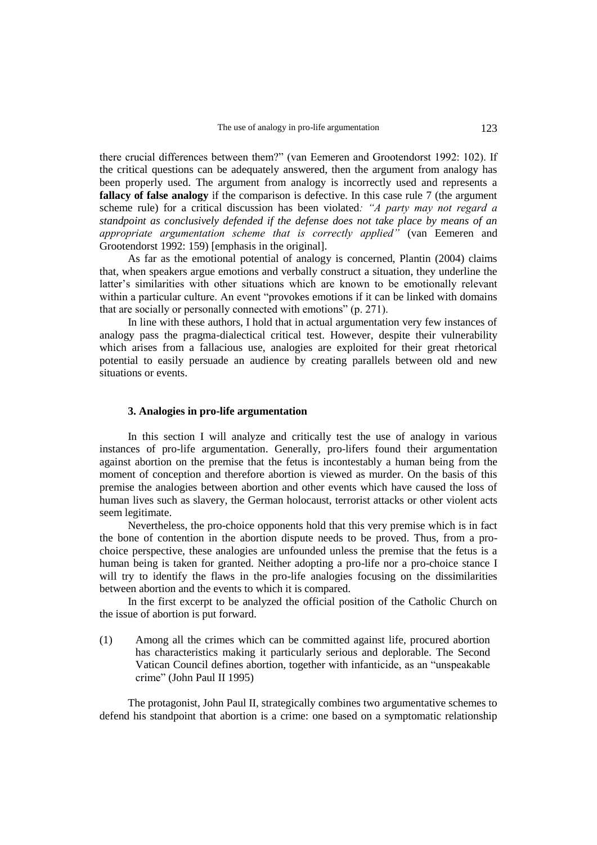there crucial differences between them?" (van Eemeren and Grootendorst 1992: 102). If the critical questions can be adequately answered, then the argument from analogy has been properly used. The argument from analogy is incorrectly used and represents a **fallacy of false analogy** if the comparison is defective. In this case rule 7 (the argument scheme rule) for a critical discussion has been violated*: "A party may not regard a standpoint as conclusively defended if the defense does not take place by means of an appropriate argumentation scheme that is correctly applied"* (van Eemeren and Grootendorst 1992: 159) [emphasis in the original].

As far as the emotional potential of analogy is concerned, Plantin (2004) claims that, when speakers argue emotions and verbally construct a situation, they underline the latter's similarities with other situations which are known to be emotionally relevant within a particular culture. An event "provokes emotions if it can be linked with domains that are socially or personally connected with emotions" (p. 271).

In line with these authors, I hold that in actual argumentation very few instances of analogy pass the pragma-dialectical critical test. However, despite their vulnerability which arises from a fallacious use, analogies are exploited for their great rhetorical potential to easily persuade an audience by creating parallels between old and new situations or events.

# **3. Analogies in pro-life argumentation**

In this section I will analyze and critically test the use of analogy in various instances of pro-life argumentation. Generally, pro-lifers found their argumentation against abortion on the premise that the fetus is incontestably a human being from the moment of conception and therefore abortion is viewed as murder. On the basis of this premise the analogies between abortion and other events which have caused the loss of human lives such as slavery, the German holocaust, terrorist attacks or other violent acts seem legitimate.

Nevertheless, the pro-choice opponents hold that this very premise which is in fact the bone of contention in the abortion dispute needs to be proved. Thus, from a prochoice perspective, these analogies are unfounded unless the premise that the fetus is a human being is taken for granted. Neither adopting a pro-life nor a pro-choice stance I will try to identify the flaws in the pro-life analogies focusing on the dissimilarities between abortion and the events to which it is compared.

In the first excerpt to be analyzed the official position of the Catholic Church on the issue of abortion is put forward.

(1) Among all the crimes which can be committed against life, procured abortion has characteristics making it particularly serious and deplorable. The Second Vatican Council defines abortion, together with infanticide, as an "unspeakable crime" (John Paul II 1995)

The protagonist, John Paul II, strategically combines two argumentative schemes to defend his standpoint that abortion is a crime: one based on a symptomatic relationship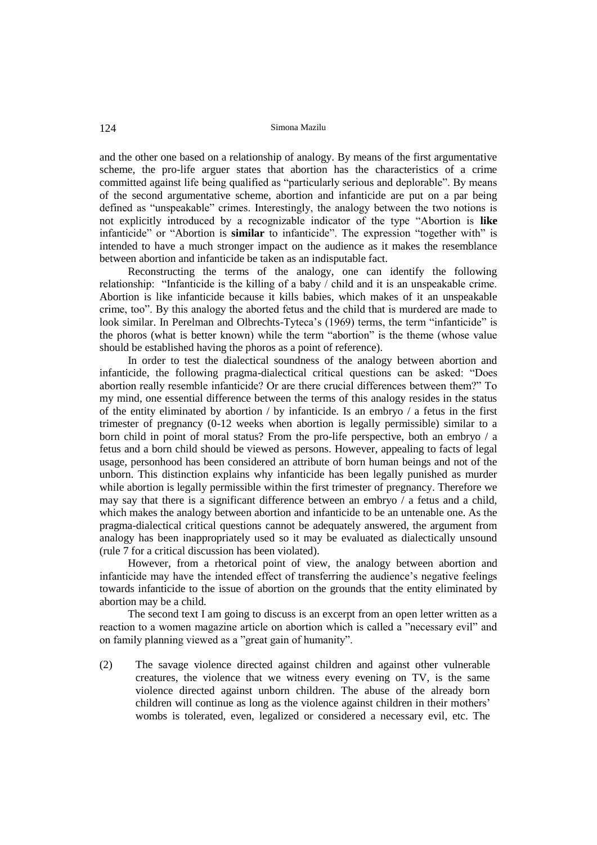and the other one based on a relationship of analogy. By means of the first argumentative scheme, the pro-life arguer states that abortion has the characteristics of a crime committed against life being qualified as "particularly serious and deplorable". By means of the second argumentative scheme, abortion and infanticide are put on a par being defined as "unspeakable" crimes. Interestingly, the analogy between the two notions is not explicitly introduced by a recognizable indicator of the type "Abortion is **like**  infanticide" or "Abortion is **similar** to infanticide". The expression "together with" is intended to have a much stronger impact on the audience as it makes the resemblance between abortion and infanticide be taken as an indisputable fact.

Reconstructing the terms of the analogy, one can identify the following relationship: "Infanticide is the killing of a baby / child and it is an unspeakable crime. Abortion is like infanticide because it kills babies, which makes of it an unspeakable crime, too". By this analogy the aborted fetus and the child that is murdered are made to look similar. In Perelman and Olbrechts-Tyteca's (1969) terms, the term "infanticide" is the phoros (what is better known) while the term "abortion" is the theme (whose value should be established having the phoros as a point of reference).

In order to test the dialectical soundness of the analogy between abortion and infanticide, the following pragma-dialectical critical questions can be asked: "Does abortion really resemble infanticide? Or are there crucial differences between them?" To my mind, one essential difference between the terms of this analogy resides in the status of the entity eliminated by abortion / by infanticide. Is an embryo / a fetus in the first trimester of pregnancy (0-12 weeks when abortion is legally permissible) similar to a born child in point of moral status? From the pro-life perspective, both an embryo / a fetus and a born child should be viewed as persons. However, appealing to facts of legal usage, personhood has been considered an attribute of born human beings and not of the unborn. This distinction explains why infanticide has been legally punished as murder while abortion is legally permissible within the first trimester of pregnancy. Therefore we may say that there is a significant difference between an embryo / a fetus and a child, which makes the analogy between abortion and infanticide to be an untenable one. As the pragma-dialectical critical questions cannot be adequately answered, the argument from analogy has been inappropriately used so it may be evaluated as dialectically unsound (rule 7 for a critical discussion has been violated).

However, from a rhetorical point of view, the analogy between abortion and infanticide may have the intended effect of transferring the audience's negative feelings towards infanticide to the issue of abortion on the grounds that the entity eliminated by abortion may be a child.

The second text I am going to discuss is an excerpt from an open letter written as a reaction to a women magazine article on abortion which is called a "necessary evil" and on family planning viewed as a "great gain of humanity".

(2) The savage violence directed against children and against other vulnerable creatures, the violence that we witness every evening on TV, is the same violence directed against unborn children. The abuse of the already born children will continue as long as the violence against children in their mothers' wombs is tolerated, even, legalized or considered a necessary evil, etc. The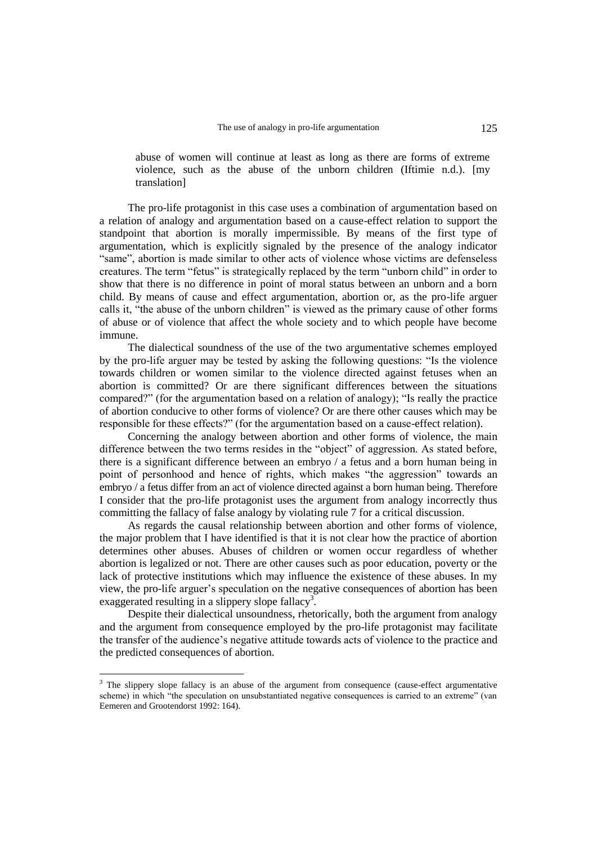abuse of women will continue at least as long as there are forms of extreme violence, such as the abuse of the unborn children (Iftimie n.d.). [my translation]

The pro-life protagonist in this case uses a combination of argumentation based on a relation of analogy and argumentation based on a cause-effect relation to support the standpoint that abortion is morally impermissible. By means of the first type of argumentation, which is explicitly signaled by the presence of the analogy indicator "same", abortion is made similar to other acts of violence whose victims are defenseless creatures. The term "fetus" is strategically replaced by the term "unborn child" in order to show that there is no difference in point of moral status between an unborn and a born child. By means of cause and effect argumentation, abortion or, as the pro-life arguer calls it, "the abuse of the unborn children" is viewed as the primary cause of other forms of abuse or of violence that affect the whole society and to which people have become immune.

The dialectical soundness of the use of the two argumentative schemes employed by the pro-life arguer may be tested by asking the following questions: "Is the violence towards children or women similar to the violence directed against fetuses when an abortion is committed? Or are there significant differences between the situations compared?" (for the argumentation based on a relation of analogy); "Is really the practice of abortion conducive to other forms of violence? Or are there other causes which may be responsible for these effects?" (for the argumentation based on a cause-effect relation).

Concerning the analogy between abortion and other forms of violence, the main difference between the two terms resides in the "object" of aggression. As stated before, there is a significant difference between an embryo / a fetus and a born human being in point of personhood and hence of rights, which makes "the aggression" towards an embryo / a fetus differ from an act of violence directed against a born human being. Therefore I consider that the pro-life protagonist uses the argument from analogy incorrectly thus committing the fallacy of false analogy by violating rule 7 for a critical discussion.

As regards the causal relationship between abortion and other forms of violence, the major problem that I have identified is that it is not clear how the practice of abortion determines other abuses. Abuses of children or women occur regardless of whether abortion is legalized or not. There are other causes such as poor education, poverty or the lack of protective institutions which may influence the existence of these abuses. In my view, the pro-life arguer's speculation on the negative consequences of abortion has been exaggerated resulting in a slippery slope fallacy<sup>3</sup>.

Despite their dialectical unsoundness, rhetorically, both the argument from analogy and the argument from consequence employed by the pro-life protagonist may facilitate the transfer of the audience's negative attitude towards acts of violence to the practice and the predicted consequences of abortion.

 $\overline{a}$ 

<sup>&</sup>lt;sup>3</sup> The slippery slope fallacy is an abuse of the argument from consequence (cause-effect argumentative scheme) in which "the speculation on unsubstantiated negative consequences is carried to an extreme" (van Eemeren and Grootendorst 1992: 164).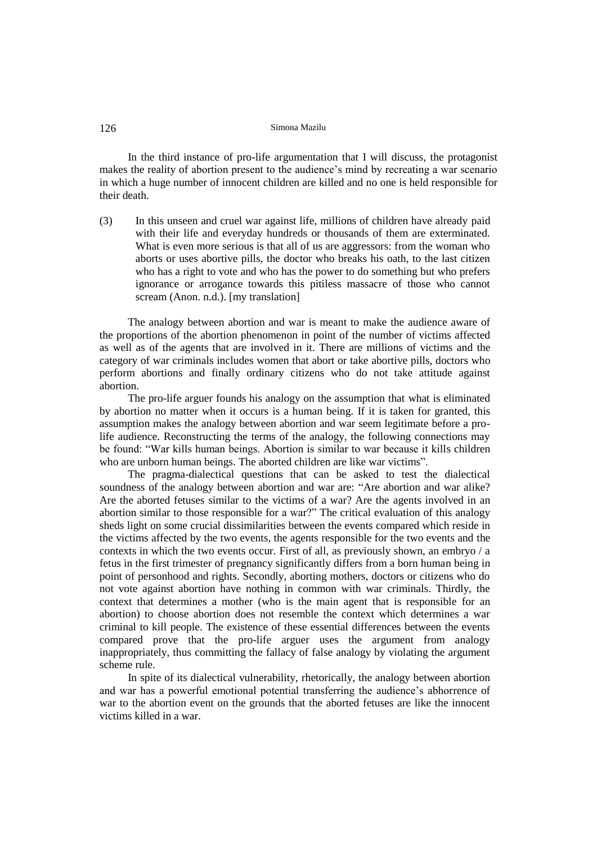### 126 Simona Mazilu

In the third instance of pro-life argumentation that I will discuss, the protagonist makes the reality of abortion present to the audience's mind by recreating a war scenario in which a huge number of innocent children are killed and no one is held responsible for their death.

(3) In this unseen and cruel war against life, millions of children have already paid with their life and everyday hundreds or thousands of them are exterminated. What is even more serious is that all of us are aggressors: from the woman who aborts or uses abortive pills, the doctor who breaks his oath, to the last citizen who has a right to vote and who has the power to do something but who prefers ignorance or arrogance towards this pitiless massacre of those who cannot scream (Anon. n.d.). [my translation]

The analogy between abortion and war is meant to make the audience aware of the proportions of the abortion phenomenon in point of the number of victims affected as well as of the agents that are involved in it. There are millions of victims and the category of war criminals includes women that abort or take abortive pills, doctors who perform abortions and finally ordinary citizens who do not take attitude against abortion.

The pro-life arguer founds his analogy on the assumption that what is eliminated by abortion no matter when it occurs is a human being. If it is taken for granted, this assumption makes the analogy between abortion and war seem legitimate before a prolife audience. Reconstructing the terms of the analogy, the following connections may be found: "War kills human beings. Abortion is similar to war because it kills children who are unborn human beings. The aborted children are like war victims".

The pragma-dialectical questions that can be asked to test the dialectical soundness of the analogy between abortion and war are: "Are abortion and war alike? Are the aborted fetuses similar to the victims of a war? Are the agents involved in an abortion similar to those responsible for a war?" The critical evaluation of this analogy sheds light on some crucial dissimilarities between the events compared which reside in the victims affected by the two events, the agents responsible for the two events and the contexts in which the two events occur. First of all, as previously shown, an embryo / a fetus in the first trimester of pregnancy significantly differs from a born human being in point of personhood and rights. Secondly, aborting mothers, doctors or citizens who do not vote against abortion have nothing in common with war criminals. Thirdly, the context that determines a mother (who is the main agent that is responsible for an abortion) to choose abortion does not resemble the context which determines a war criminal to kill people. The existence of these essential differences between the events compared prove that the pro-life arguer uses the argument from analogy inappropriately, thus committing the fallacy of false analogy by violating the argument scheme rule.

In spite of its dialectical vulnerability, rhetorically, the analogy between abortion and war has a powerful emotional potential transferring the audience's abhorrence of war to the abortion event on the grounds that the aborted fetuses are like the innocent victims killed in a war.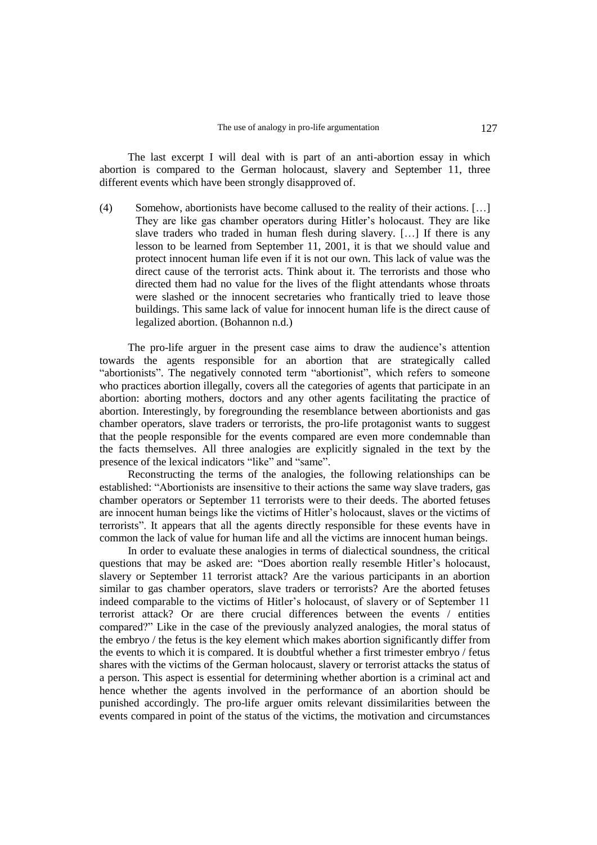The last excerpt I will deal with is part of an anti-abortion essay in which abortion is compared to the German holocaust, slavery and September 11, three different events which have been strongly disapproved of.

(4) Somehow, abortionists have become callused to the reality of their actions. […] They are like gas chamber operators during Hitler's holocaust. They are like slave traders who traded in human flesh during slavery. […] If there is any lesson to be learned from September 11, 2001, it is that we should value and protect innocent human life even if it is not our own. This lack of value was the direct cause of the terrorist acts. Think about it. The terrorists and those who directed them had no value for the lives of the flight attendants whose throats were slashed or the innocent secretaries who frantically tried to leave those buildings. This same lack of value for innocent human life is the direct cause of legalized abortion. (Bohannon n.d.)

The pro-life arguer in the present case aims to draw the audience's attention towards the agents responsible for an abortion that are strategically called "abortionists". The negatively connoted term "abortionist", which refers to someone who practices abortion illegally, covers all the categories of agents that participate in an abortion: aborting mothers, doctors and any other agents facilitating the practice of abortion. Interestingly, by foregrounding the resemblance between abortionists and gas chamber operators, slave traders or terrorists, the pro-life protagonist wants to suggest that the people responsible for the events compared are even more condemnable than the facts themselves. All three analogies are explicitly signaled in the text by the presence of the lexical indicators "like" and "same".

Reconstructing the terms of the analogies, the following relationships can be established: "Abortionists are insensitive to their actions the same way slave traders, gas chamber operators or September 11 terrorists were to their deeds. The aborted fetuses are innocent human beings like the victims of Hitler's holocaust, slaves or the victims of terrorists". It appears that all the agents directly responsible for these events have in common the lack of value for human life and all the victims are innocent human beings.

In order to evaluate these analogies in terms of dialectical soundness, the critical questions that may be asked are: "Does abortion really resemble Hitler's holocaust, slavery or September 11 terrorist attack? Are the various participants in an abortion similar to gas chamber operators, slave traders or terrorists? Are the aborted fetuses indeed comparable to the victims of Hitler's holocaust, of slavery or of September 11 terrorist attack? Or are there crucial differences between the events / entities compared?" Like in the case of the previously analyzed analogies, the moral status of the embryo / the fetus is the key element which makes abortion significantly differ from the events to which it is compared. It is doubtful whether a first trimester embryo / fetus shares with the victims of the German holocaust, slavery or terrorist attacks the status of a person. This aspect is essential for determining whether abortion is a criminal act and hence whether the agents involved in the performance of an abortion should be punished accordingly. The pro-life arguer omits relevant dissimilarities between the events compared in point of the status of the victims, the motivation and circumstances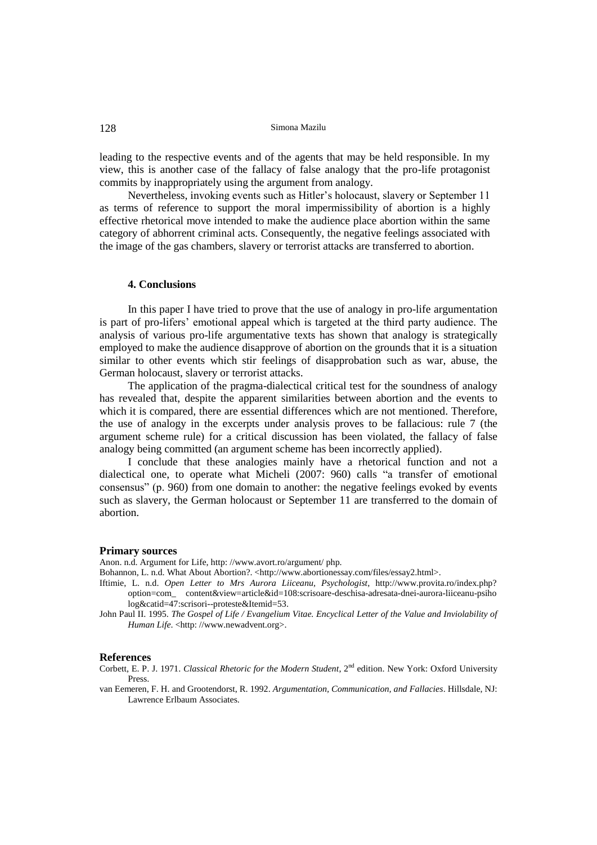128 Simona Mazilu

leading to the respective events and of the agents that may be held responsible. In my view, this is another case of the fallacy of false analogy that the pro-life protagonist commits by inappropriately using the argument from analogy.

Nevertheless, invoking events such as Hitler's holocaust, slavery or September 11 as terms of reference to support the moral impermissibility of abortion is a highly effective rhetorical move intended to make the audience place abortion within the same category of abhorrent criminal acts. Consequently, the negative feelings associated with the image of the gas chambers, slavery or terrorist attacks are transferred to abortion.

### **4. Conclusions**

In this paper I have tried to prove that the use of analogy in pro-life argumentation is part of pro-lifers' emotional appeal which is targeted at the third party audience. The analysis of various pro-life argumentative texts has shown that analogy is strategically employed to make the audience disapprove of abortion on the grounds that it is a situation similar to other events which stir feelings of disapprobation such as war, abuse, the German holocaust, slavery or terrorist attacks.

The application of the pragma-dialectical critical test for the soundness of analogy has revealed that, despite the apparent similarities between abortion and the events to which it is compared, there are essential differences which are not mentioned. Therefore, the use of analogy in the excerpts under analysis proves to be fallacious: rule 7 (the argument scheme rule) for a critical discussion has been violated, the fallacy of false analogy being committed (an argument scheme has been incorrectly applied).

I conclude that these analogies mainly have a rhetorical function and not a dialectical one, to operate what Micheli (2007: 960) calls "a transfer of emotional consensus" (p. 960) from one domain to another: the negative feelings evoked by events such as slavery, the German holocaust or September 11 are transferred to the domain of abortion.

#### **Primary sources**

Anon. n.d. Argument for Life, http: //www.avort.ro/argument/ php.

Bohannon, L. n.d. What About Abortion?. <http://www.abortionessay.com/files/essay2.html>.

- Iftimie, L. n.d. *Open Letter to Mrs Aurora Liiceanu, Psychologist*, http://www.provita.ro/index.php? option=com\_ content&view=article&id=108:scrisoare-deschisa-adresata-dnei-aurora-liiceanu-psiho log&catid=47:scrisori--proteste&Itemid=53.
- John Paul II. 1995. *The Gospel of Life / Evangelium Vitae. Encyclical Letter of the Value and Inviolability of Human Life.* <http://www.newadvent.org>.

#### **References**

Corbett, E. P. J. 1971. *Classical Rhetoric for the Modern Student*, 2<sup>nd</sup> edition. New York: Oxford University Press.

van Eemeren, F. H. and Grootendorst, R. 1992. *Argumentation, Communication, and Fallacies*. Hillsdale, NJ: Lawrence Erlbaum Associates.